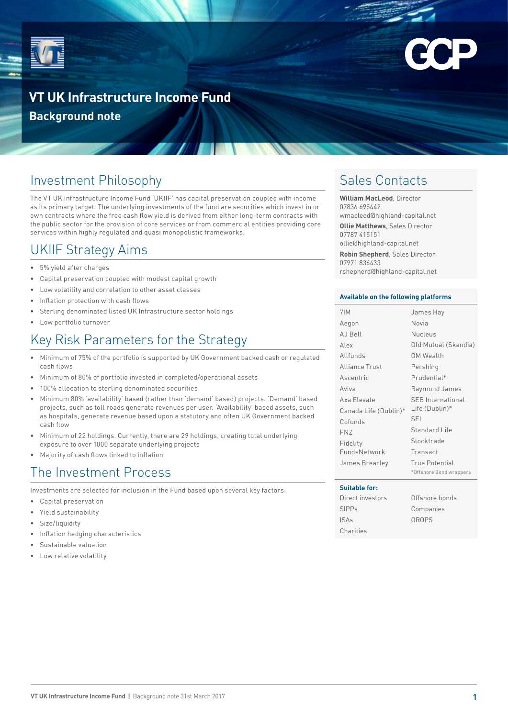



# Investment Philosophy

The VT UK Infrastructure Income Fund 'UKIIF' has capital preservation coupled with income as its primary target. The underlying investments of the fund are securities which invest in or own contracts where the free cash flow yield is derived from either long-term contracts with the public sector for the provision of core services or from commercial entities providing core services within highly regulated and quasi monopolistic frameworks.

# UKIIF Strategy Aims

- 5% yield after charges
- Capital preservation coupled with modest capital growth
- Low volatility and correlation to other asset classes
- Inflation protection with cash flows
- Sterling denominated listed UK Infrastructure sector holdings
- Low portfolio turnover

# Key Risk Parameters for the Strategy

- Minimum of 75% of the portfolio is supported by UK Government backed cash or regulated cash flows
- Minimum of 80% of portfolio invested in completed/operational assets
- 100% allocation to sterling denominated securities
- Minimum 80% 'availability' based (rather than 'demand' based) projects. 'Demand' based projects, such as toll roads generate revenues per user. 'Availability' based assets, such as hospitals, generate revenue based upon a statutory and often UK Government backed cash flow
- Minimum of 22 holdings. Currently, there are 29 holdings, creating total underlying exposure to over 1000 separate underlying projects
- Majority of cash flows linked to inflation

### The Investment Process

Investments are selected for inclusion in the Fund based upon several key factors:

- Capital preservation
- Yield sustainability
- Size/liquidity
- Inflation hedging characteristics
- Sustainable valuation
- Low relative volatility

# Sales Contacts

**William MacLeod**, Director 07836 695442 wmacleod@highland-capital.net **Ollie Matthews**, Sales Director 07787 415151 ollie@highland-capital.net **Robin Shepherd**, Sales Director 07971 836433 rshepherd@highland-capital.net

#### **Available on the following platforms**

| 7IM                   | James Hay                |
|-----------------------|--------------------------|
| Aegon                 | Novia                    |
| <b>AJ Bell</b>        | Nucleus                  |
| Alex                  | Old Mutual (Skandia)     |
| Allfunds              | OM Wealth                |
| <b>Alliance Trust</b> | Pershing                 |
| Ascentric             | Prudential*              |
| Aviva                 | Raymond James            |
| Axa Elevate           | <b>SEB</b> International |
| Canada Life (Dublin)* | Life (Dublin)*           |
| Cofunds               | SEI                      |
| <b>FNZ</b>            | Standard Life            |
| Fidelity              | Stocktrade               |
| FundsNetwork          | Transact                 |
| James Brearley        | True Potential           |
|                       | *Offshore Bond wrappers  |

#### **Suitable for:**

Direct investors SIPPs ISAs Charities

Offshore bonds Companies QROPS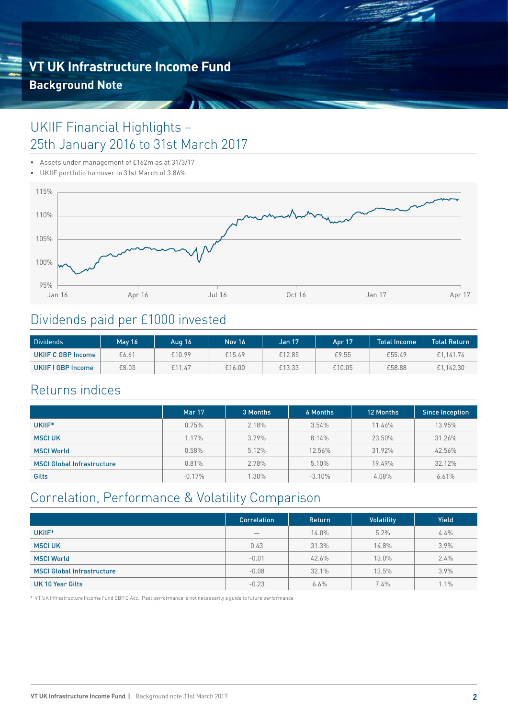# UKIIF Financial Highlights – 25th January 2016 to 31st March 2017

- Assets under management of £162m as at 31/3/17
- UKIIF portfolio turnover to 31st March of 3.86%



# Dividends paid per £1000 invested

| Dividends          | <b>May 16</b> | <b>Aug 16</b> | <b>Nov 16</b> | Jan 17 | <b>Apr 17</b> | Total Income | <b>Total Return</b> |
|--------------------|---------------|---------------|---------------|--------|---------------|--------------|---------------------|
| UKIIF C GBP Income | £6.61         | £10.99        | £15.49        | £12.85 | £9.55         | £55.49       | £1.141.74           |
| UKIIF I GBP Income | £8.03         | £11.47        | £16.00        | £13.33 | £10.05        | £58.88       | £1.142.30           |

# Returns indices

|                                   | <b>Mar 17</b> | 3 Months | 6 Months | 12 Months | Since Inception |
|-----------------------------------|---------------|----------|----------|-----------|-----------------|
| UKIIF*                            | 0.75%         | 2.18%    | 3.54%    | 11.46%    | 13.95%          |
| <b>MSCI UK</b>                    | 1.17%         | 3.79%    | 8.14%    | 23.50%    | 31.26%          |
| <b>MSCI World</b>                 | 0.58%         | 5.12%    | 12.56%   | 31.92%    | 42.56%          |
| <b>MSCI Global Infrastructure</b> | 0.81%         | 2.78%    | 5.10%    | $19.49\%$ | 32.12%          |
| Gilts                             | $-0.17%$      | 1.30%    | $-3.10%$ | 4.08%     | 6.61%           |

# Correlation, Performance & Volatility Comparison

|                                   | <b>Correlation</b>              | Return | Volatility | <b>Yield</b> |
|-----------------------------------|---------------------------------|--------|------------|--------------|
| UKIIF*                            | $\hspace{0.1mm}-\hspace{0.1mm}$ | 14.0%  | 5.2%       | $4.4\%$      |
| <b>MSCI UK</b>                    | 0.43                            | 31.3%  | 14.8%      | $3.9\%$      |
| <b>MSCI World</b>                 | $-0.01$                         | 42.6%  | 13.0%      | $2.4\%$      |
| <b>MSCI Global Infrastructure</b> | $-0.08$                         | 32.1%  | 13.5%      | 3.9%         |
| UK 10 Year Gilts                  | $-0.23$                         | 6.6%   | 7.4%       | $.1\%$       |

\* VT UK Infrastructure Income Fund GBP C Acc. Past performance is not necessarily a guide to future performance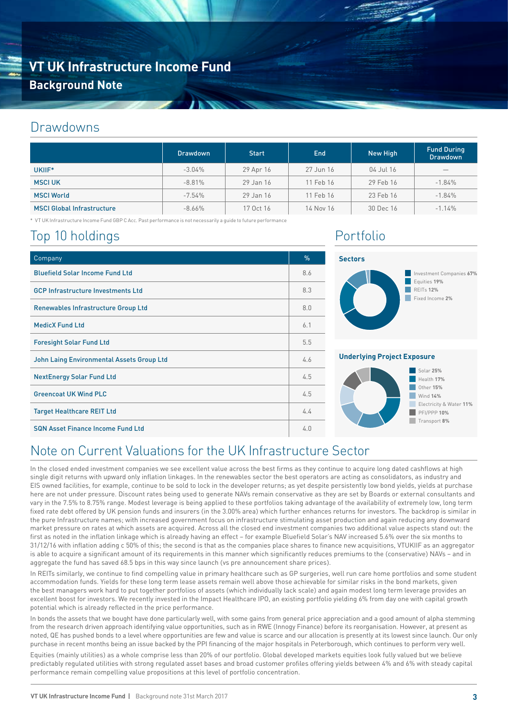### Drawdowns

|                                   | <b>Drawdown</b> | <b>Start</b> | <b>End</b> | New High  | <b>Fund During</b><br><b>Drawdown</b> |
|-----------------------------------|-----------------|--------------|------------|-----------|---------------------------------------|
| UKIIF*                            | $-3.04\%$       | 29 Apr 16    | 27 Jun 16  | 04 Jul 16 |                                       |
| <b>MSCI UK</b>                    | $-8.81%$        | 29 Jan 16    | 11 Feb 16  | 29 Feb 16 | $-1.84%$                              |
| <b>MSCI World</b>                 | $-7.54\%$       | 29 Jan 16    | 11 Feb 16  | 23 Feb 16 | $-1.84%$                              |
| <b>MSCI Global Infrastructure</b> | $-8.66\%$       | 17 Oct 16    | 14 Nov 16  | 30 Dec 16 | $-1.14\%$                             |

\* VT UK Infrastructure Income Fund GBP C Acc. Past performance is not necessarily a guide to future performance

### Top 10 holdings

| Company                                   | $\%$ |
|-------------------------------------------|------|
| <b>Bluefield Solar Income Fund Ltd</b>    | 8.6  |
| <b>GCP Infrastructure Investments Ltd</b> | 8.3  |
| Renewables Infrastructure Group Ltd       | 8.0  |
| <b>MedicX Fund Ltd</b>                    | 6.1  |
| <b>Foresight Solar Fund Ltd</b>           | 5.5  |
| John Laing Environmental Assets Group Ltd | 4.6  |
| <b>NextEnergy Solar Fund Ltd</b>          | 4.5  |
| <b>Greencoat UK Wind PLC</b>              | 4.5  |
| <b>Target Healthcare REIT Ltd</b>         | 4.4  |
| <b>SQN Asset Finance Income Fund Ltd</b>  | 4.0  |

### Portfolio



#### **Underlying Project Exposure**



## Note on Current Valuations for the UK Infrastructure Sector

In the closed ended investment companies we see excellent value across the best firms as they continue to acquire long dated cashflows at high single digit returns with upward only inflation linkages. In the renewables sector the best operators are acting as consolidators, as industry and EIS owned facilities, for example, continue to be sold to lock in the developer returns; as yet despite persistently low bond yields, yields at purchase here are not under pressure. Discount rates being used to generate NAVs remain conservative as they are set by Boards or external consultants and vary in the 7.5% to 8.75% range. Modest leverage is being applied to these portfolios taking advantage of the availability of extremely low, long term fixed rate debt offered by UK pension funds and insurers (in the 3.00% area) which further enhances returns for investors. The backdrop is similar in the pure Infrastructure names; with increased government focus on infrastructure stimulating asset production and again reducing any downward market pressure on rates at which assets are acquired. Across all the closed end investment companies two additional value aspects stand out: the first as noted in the inflation linkage which is already having an effect – for example Bluefield Solar's NAV increased 5.6% over the six months to 31/12/16 with inflation adding c 50% of this; the second is that as the companies place shares to finance new acquisitions, VTUKIIF as an aggregator is able to acquire a significant amount of its requirements in this manner which significantly reduces premiums to the (conservative) NAVs – and in aggregate the fund has saved 68.5 bps in this way since launch (vs pre announcement share prices).

In REITs similarly, we continue to find compelling value in primary healthcare such as GP surgeries, well run care home portfolios and some student accommodation funds. Yields for these long term lease assets remain well above those achievable for similar risks in the bond markets, given the best managers work hard to put together portfolios of assets (which individually lack scale) and again modest long term leverage provides an excellent boost for investors. We recently invested in the Impact Healthcare IPO, an existing portfolio yielding 6% from day one with capital growth potential which is already reflected in the price performance.

In bonds the assets that we bought have done particularly well, with some gains from general price appreciation and a good amount of alpha stemming from the research driven approach identifying value opportunities, such as in RWE (Innogy Finance) before its reorganisation. However, at present as noted, QE has pushed bonds to a level where opportunities are few and value is scarce and our allocation is presently at its lowest since launch. Our only purchase in recent months being an issue backed by the PPI financing of the major hospitals in Peterborough, which continues to perform very well.

Equities (mainly utilities) as a whole comprise less than 20% of our portfolio. Global developed markets equities look fully valued but we believe predictably regulated utilities with strong regulated asset bases and broad customer profiles offering yields between 4% and 6% with steady capital performance remain compelling value propositions at this level of portfolio concentration.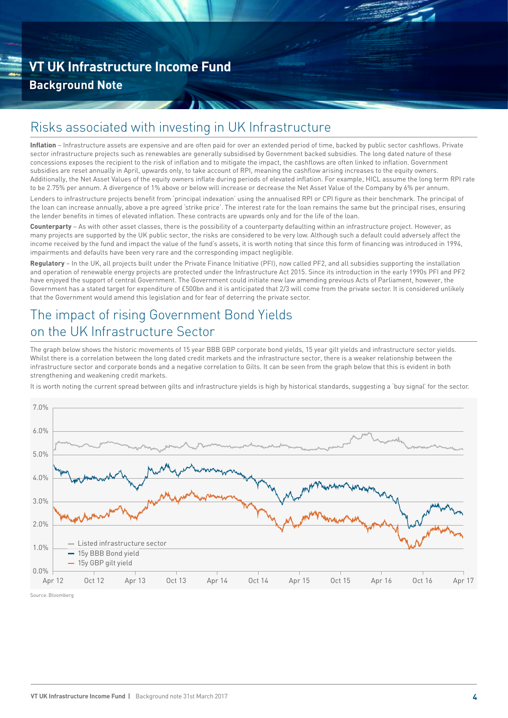### Risks associated with investing in UK Infrastructure

**Inflation** – Infrastructure assets are expensive and are often paid for over an extended period of time, backed by public sector cashflows. Private sector infrastructure projects such as renewables are generally subsidised by Government backed subsidies. The long dated nature of these concessions exposes the recipient to the risk of inflation and to mitigate the impact, the cashflows are often linked to inflation. Government subsidies are reset annually in April, upwards only, to take account of RPI, meaning the cashflow arising increases to the equity owners. Additionally, the Net Asset Values of the equity owners inflate during periods of elevated inflation. For example, HICL assume the long term RPI rate to be 2.75% per annum. A divergence of 1% above or below will increase or decrease the Net Asset Value of the Company by 6% per annum.

Lenders to infrastructure projects benefit from 'principal indexation' using the annualised RPI or CPI figure as their benchmark. The principal of the loan can increase annually, above a pre agreed 'strike price'. The interest rate for the loan remains the same but the principal rises, ensuring the lender benefits in times of elevated inflation. These contracts are upwards only and for the life of the loan.

**Counterparty** – As with other asset classes, there is the possibility of a counterparty defaulting within an infrastructure project. However, as many projects are supported by the UK public sector, the risks are considered to be very low. Although such a default could adversely affect the income received by the fund and impact the value of the fund's assets, it is worth noting that since this form of financing was introduced in 1994, impairments and defaults have been very rare and the corresponding impact negligible.

**Regulatory** – In the UK, all projects built under the Private Finance Initiative (PFI), now called PF2, and all subsidies supporting the installation and operation of renewable energy projects are protected under the Infrastructure Act 2015. Since its introduction in the early 1990s PFI and PF2 have enjoyed the support of central Government. The Government could initiate new law amending previous Acts of Parliament, however, the Government has a stated target for expenditure of £500bn and it is anticipated that 2/3 will come from the private sector. It is considered unlikely that the Government would amend this legislation and for fear of deterring the private sector.

# The impact of rising Government Bond Yields on the UK Infrastructure Sector

The graph below shows the historic movements of 15 year BBB GBP corporate bond yields, 15 year gilt yields and infrastructure sector yields. Whilst there is a correlation between the long dated credit markets and the infrastructure sector, there is a weaker relationship between the infrastructure sector and corporate bonds and a negative correlation to Gilts. It can be seen from the graph below that this is evident in both strengthening and weakening credit markets.

It is worth noting the current spread between gilts and infrastructure yields is high by historical standards, suggesting a 'buy signal' for the sector.



Source: Bloomberg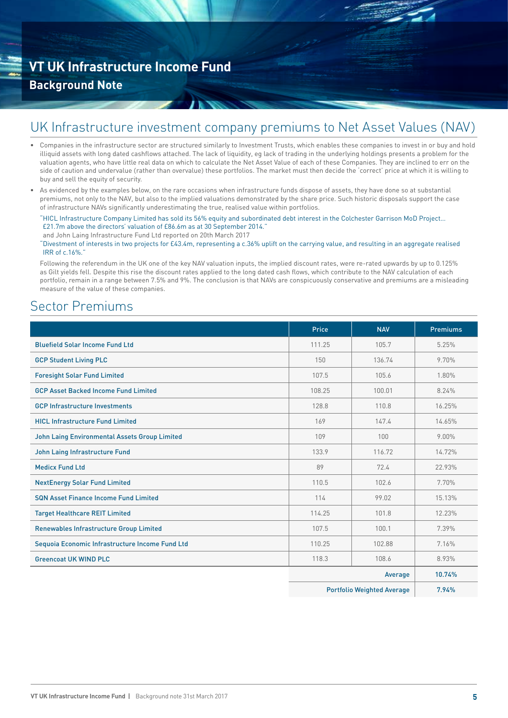### UK Infrastructure investment company premiums to Net Asset Values (NAV)

- Companies in the infrastructure sector are structured similarly to Investment Trusts, which enables these companies to invest in or buy and hold illiquid assets with long dated cashflows attached. The lack of liquidity, eg lack of trading in the underlying holdings presents a problem for the valuation agents, who have little real data on which to calculate the Net Asset Value of each of these Companies. They are inclined to err on the side of caution and undervalue (rather than overvalue) these portfolios. The market must then decide the 'correct' price at which it is willing to buy and sell the equity of security.
- As evidenced by the examples below, on the rare occasions when infrastructure funds dispose of assets, they have done so at substantial premiums, not only to the NAV, but also to the implied valuations demonstrated by the share price. Such historic disposals support the case of infrastructure NAVs significantly underestimating the true, realised value within portfolios.

"HICL Infrastructure Company Limited has sold its 56% equity and subordinated debt interest in the Colchester Garrison MoD Project… £21.7m above the directors' valuation of £86.6m as at 30 September 2014." and John Laing Infrastructure Fund Ltd reported on 20th March 2017

"Divestment of interests in two projects for £43.4m, representing a c.36% uplift on the carrying value, and resulting in an aggregate realised IRR of c.16%."

Following the referendum in the UK one of the key NAV valuation inputs, the implied discount rates, were re-rated upwards by up to 0.125% as Gilt yields fell. Despite this rise the discount rates applied to the long dated cash flows, which contribute to the NAV calculation of each portfolio, remain in a range between 7.5% and 9%. The conclusion is that NAVs are conspicuously conservative and premiums are a misleading measure of the value of these companies.

### Sector Premiums

|                                                 | Price  | <b>NAV</b>                        | <b>Premiums</b> |
|-------------------------------------------------|--------|-----------------------------------|-----------------|
| <b>Bluefield Solar Income Fund Ltd</b>          | 111.25 | 105.7                             | 5.25%           |
| <b>GCP Student Living PLC</b>                   | 150    | 136.74                            | 9.70%           |
| <b>Foresight Solar Fund Limited</b>             | 107.5  | 105.6                             | 1.80%           |
| <b>GCP Asset Backed Income Fund Limited</b>     | 108.25 | 100.01                            | 8.24%           |
| <b>GCP Infrastructure Investments</b>           | 128.8  | 110.8                             | 16.25%          |
| <b>HICL Infrastructure Fund Limited</b>         | 169    | 147.4                             | 14.65%          |
| John Laing Environmental Assets Group Limited   | 109    | 100                               | 9.00%           |
| John Laing Infrastructure Fund                  | 133.9  | 116.72                            | 14.72%          |
| <b>Medicx Fund Ltd</b>                          | 89     | 72.4                              | 22.93%          |
| <b>NextEnergy Solar Fund Limited</b>            | 110.5  | 102.6                             | 7.70%           |
| <b>SQN Asset Finance Income Fund Limited</b>    | 114    | 99.02                             | 15.13%          |
| <b>Target Healthcare REIT Limited</b>           | 114.25 | 101.8                             | 12.23%          |
| <b>Renewables Infrastructure Group Limited</b>  | 107.5  | 100.1                             | 7.39%           |
| Sequoia Economic Infrastructure Income Fund Ltd | 110.25 | 102.88                            | 7.16%           |
| <b>Greencoat UK WIND PLC</b>                    | 118.3  | 108.6                             | 8.93%           |
|                                                 |        | Average                           | 10.74%          |
|                                                 |        | <b>Portfolio Weighted Average</b> | 7.94%           |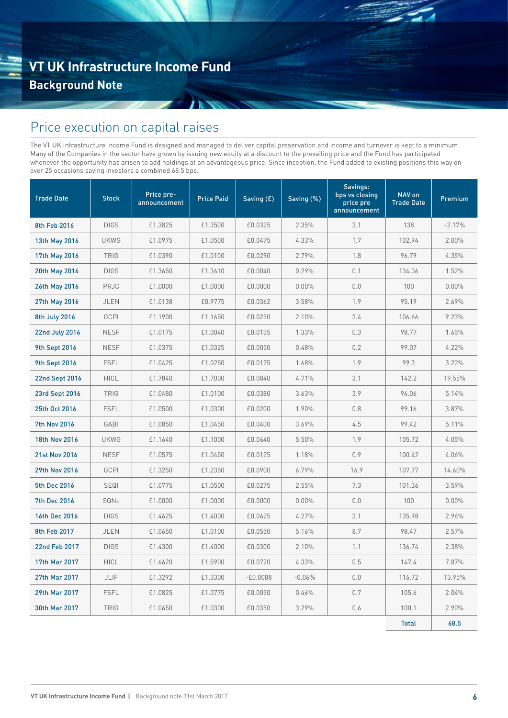## Price execution on capital raises

The VT UK Infrastructure Income Fund is designed and managed to deliver capital preservation and income and turnover is kept to a minimum. Many of the Companies in the sector have grown by issuing new equity at a discount to the prevailing price and the Fund has participated whenever the opportunity has arisen to add holdings at an advantageous price. Since inception, the Fund added to existing positions this way on over 25 occasions saving investors a combined 68.5 bps.

| <b>Trade Date</b>    | <b>Stock</b> | Price pre-<br>announcement | <b>Price Paid</b> | Saving (£) | Saving (%) | Savings:<br>bps vs closing<br>price pre<br>announcement | NAV on<br><b>Trade Date</b> | Premium  |
|----------------------|--------------|----------------------------|-------------------|------------|------------|---------------------------------------------------------|-----------------------------|----------|
| 8th Feb 2016         | <b>DIGS</b>  | £1.3825                    | £1.3500           | £0.0325    | 2.35%      | 3.1                                                     | 138                         | $-2.17%$ |
| 13th May 2016        | <b>UKWG</b>  | £1.0975                    | £1.0500           | £0.0475    | 4.33%      | 1.7                                                     | 102.94                      | 2.00%    |
| 17th May 2016        | <b>TRIG</b>  | £1.0390                    | £1.0100           | £0.0290    | 2.79%      | 1.8                                                     | 96.79                       | 4.35%    |
| 20th May 2016        | <b>DIGS</b>  | £1.3650                    | £1.3610           | £0.0040    | 0.29%      | 0.1                                                     | 134.06                      | 1.52%    |
| 26th May 2016        | PRJC         | £1.0000                    | £1.0000           | £0.0000    | 0.00%      | 0.0                                                     | 100                         | 0.00%    |
| 27th May 2016        | <b>JLEN</b>  | £1.0138                    | £0.9775           | £0.0362    | 3.58%      | 1.9                                                     | 95.19                       | 2.69%    |
| 8th July 2016        | GCPI         | £1.1900                    | £1.1650           | £0.0250    | 2.10%      | 3.4                                                     | 106.66                      | 9.23%    |
| 22nd July 2016       | <b>NESF</b>  | £1.0175                    | £1.0040           | £0.0135    | 1.33%      | 0.3                                                     | 98.77                       | 1.65%    |
| <b>9th Sept 2016</b> | <b>NESF</b>  | £1.0375                    | £1.0325           | £0.0050    | 0.48%      | 0.2                                                     | 99.07                       | 4.22%    |
| <b>9th Sept 2016</b> | <b>FSFL</b>  | £1.0425                    | £1.0250           | £0.0175    | 1.68%      | 1.9                                                     | 99.3                        | 3.22%    |
| 22nd Sept 2016       | <b>HICL</b>  | £1.7840                    | £1.7000           | £0.0840    | 4.71%      | 3.1                                                     | 142.2                       | 19.55%   |
| 23rd Sept 2016       | <b>TRIG</b>  | £1.0480                    | £1.0100           | £0.0380    | 3.63%      | 3.9                                                     | 96.06                       | 5.14%    |
| 25th Oct 2016        | <b>FSFL</b>  | £1.0500                    | £1.0300           | £0.0200    | 1.90%      | 0.8                                                     | 99.16                       | 3.87%    |
| <b>7th Nov 2016</b>  | GABI         | £1.0850                    | £1.0450           | £0.0400    | 3.69%      | 4.5                                                     | 99.42                       | 5.11%    |
| 18th Nov 2016        | <b>UKWG</b>  | £1.1640                    | £1.1000           | £0.0640    | 5.50%      | 1.9                                                     | 105.72                      | 4.05%    |
| <b>21st Nov 2016</b> | <b>NESF</b>  | £1.0575                    | £1.0450           | £0.0125    | 1.18%      | 0.9                                                     | 100.42                      | 4.06%    |
| 29th Nov 2016        | <b>GCPI</b>  | £1.3250                    | £1.2350           | £0.0900    | 6.79%      | 16.9                                                    | 107.77                      | 14.60%   |
| 5th Dec 2016         | <b>SEQI</b>  | £1.0775                    | £1.0500           | £0.0275    | 2.55%      | 7.3                                                     | 101.36                      | 3.59%    |
| <b>7th Dec 2016</b>  | SQNc         | £1.0000                    | £1,0000           | £0.0000    | $0.00\%$   | 0.0                                                     | 100                         | $0.00\%$ |
| 16th Dec 2016        | <b>DIGS</b>  | £1.4625                    | £1.4000           | £0.0625    | 4.27%      | 3.1                                                     | 135.98                      | 2.96%    |
| 8th Feb 2017         | <b>JLEN</b>  | £1.0650                    | £1.0100           | £0.0550    | 5.16%      | 8.7                                                     | 98.47                       | 2.57%    |
| 22nd Feb 2017        | <b>DIGS</b>  | £1.4300                    | £1.4000           | £0.0300    | 2.10%      | 1.1                                                     | 136.74                      | 2.38%    |
| 17th Mar 2017        | <b>HICL</b>  | £1.6620                    | £1.5900           | £0.0720    | 4.33%      | 0.5                                                     | 147.4                       | 7.87%    |
| 27th Mar 2017        | JLIF         | £1.3292                    | £1.3300           | $-E0.0008$ | $-0.06%$   | 0.0                                                     | 116.72                      | 13.95%   |
| 29th Mar 2017        | <b>FSFL</b>  | £1.0825                    | £1.0775           | £0.0050    | 0.46%      | 0.7                                                     | 105.6                       | 2.04%    |
| 30th Mar 2017        | TRIG         | £1.0650                    | £1.0300           | £0.0350    | 3.29%      | 0.6                                                     | 100.1                       | 2.90%    |
|                      |              |                            |                   |            |            |                                                         | <b>Total</b>                | 68.5     |